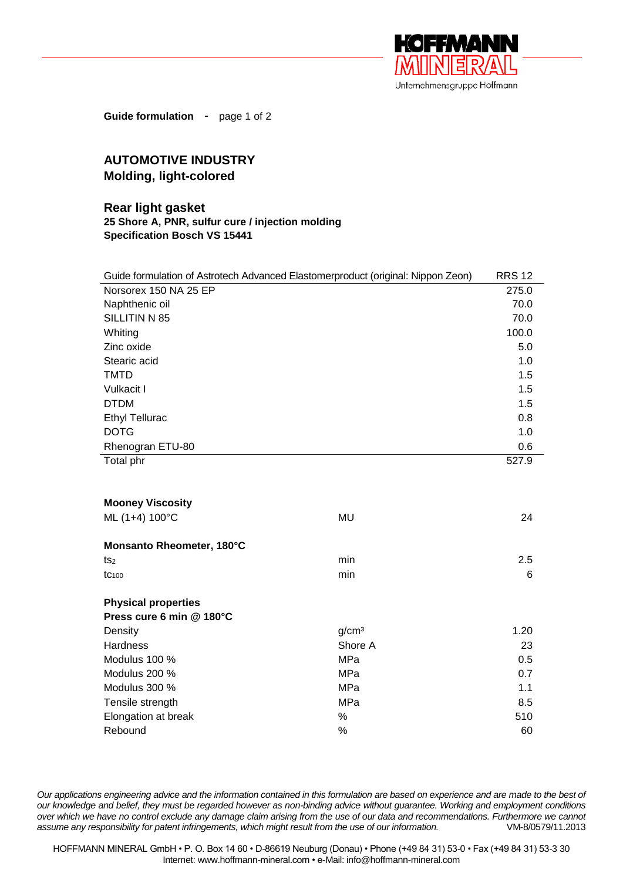

**Guide formulation** - page 1 of 2

## **AUTOMOTIVE INDUSTRY Molding, light-colored**

## **Rear light gasket 25 Shore A, PNR, sulfur cure / injection molding Specification Bosch VS 15441**

| Guide formulation of Astrotech Advanced Elastomerproduct (original: Nippon Zeon) |       |  |
|----------------------------------------------------------------------------------|-------|--|
| Norsorex 150 NA 25 EP                                                            | 275.0 |  |
| Naphthenic oil                                                                   | 70.0  |  |
| SILLITIN N 85                                                                    | 70.0  |  |
| Whiting                                                                          | 100.0 |  |
| Zinc oxide                                                                       | 5.0   |  |
| Stearic acid                                                                     | 1.0   |  |
| <b>TMTD</b>                                                                      | 1.5   |  |
| Vulkacit I                                                                       | 1.5   |  |
| <b>DTDM</b>                                                                      | 1.5   |  |
| <b>Ethyl Tellurac</b>                                                            | 0.8   |  |
| <b>DOTG</b>                                                                      | 1.0   |  |
| Rhenogran ETU-80                                                                 | 0.6   |  |
| Total phr                                                                        | 527.9 |  |
|                                                                                  |       |  |
|                                                                                  |       |  |
| <b>Mooney Viscosity</b>                                                          |       |  |
| ML (1+4) 100°C<br><b>MU</b>                                                      | 24    |  |
| Monsanto Rheometer, 180°C                                                        |       |  |
| min<br>ts2                                                                       | 2.5   |  |
| min<br>tc <sub>100</sub>                                                         | 6     |  |
| <b>Physical properties</b>                                                       |       |  |
| Press cure 6 min @ 180°C                                                         |       |  |
| q/cm <sup>3</sup><br>Density                                                     | 1.20  |  |
| Shore A<br>Hardness                                                              | 23    |  |
| Modulus 100 %<br>MPa                                                             | 0.5   |  |
| Modulus 200 %<br>MPa                                                             | 0.7   |  |
| Modulus 300 %<br>MPa                                                             | 1.1   |  |
| Tensile strength<br>MPa                                                          | 8.5   |  |
| Elongation at break<br>%                                                         | 510   |  |
|                                                                                  |       |  |

*Our applications engineering advice and the information contained in this formulation are based on experience and are made to the best of our knowledge and belief, they must be regarded however as non-binding advice without guarantee. Working and employment conditions over which we have no control exclude any damage claim arising from the use of our data and recommendations. Furthermore we cannot assume any responsibility for patent infringements, which might result from the use of our information.* VM-8/0579/11.2013